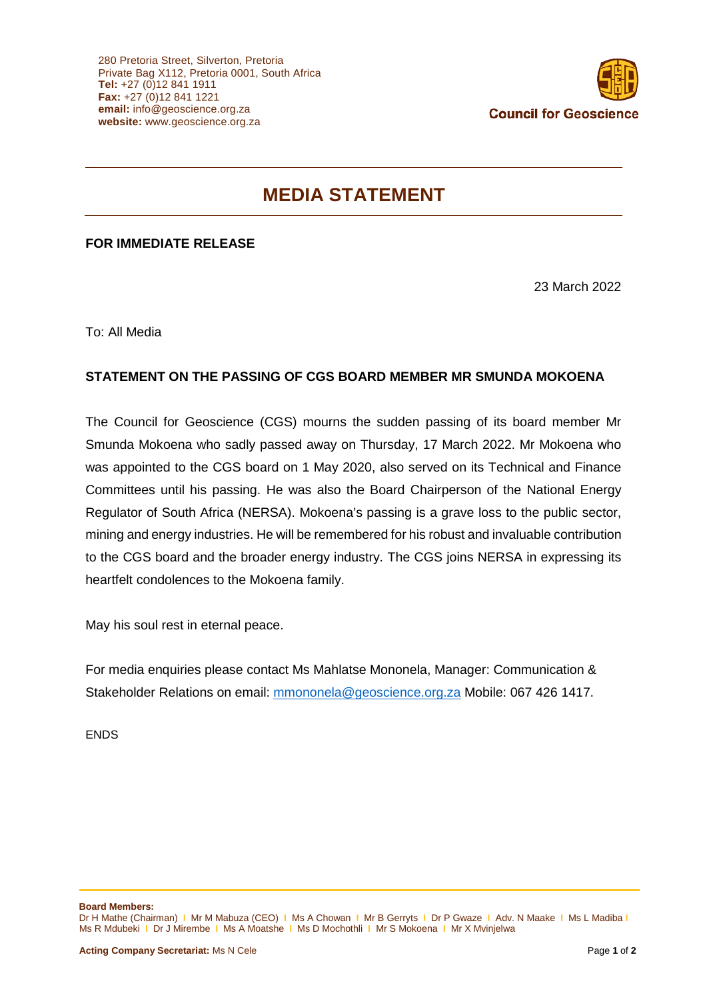

## **MEDIA STATEMENT**

## **FOR IMMEDIATE RELEASE**

23 March 2022

To: All Media

## **STATEMENT ON THE PASSING OF CGS BOARD MEMBER MR SMUNDA MOKOENA**

The Council for Geoscience (CGS) mourns the sudden passing of its board member Mr Smunda Mokoena who sadly passed away on Thursday, 17 March 2022. Mr Mokoena who was appointed to the CGS board on 1 May 2020, also served on its Technical and Finance Committees until his passing. He was also the Board Chairperson of the National Energy Regulator of South Africa (NERSA). Mokoena's passing is a grave loss to the public sector, mining and energy industries. He will be remembered for his robust and invaluable contribution to the CGS board and the broader energy industry. The CGS joins NERSA in expressing its heartfelt condolences to the Mokoena family.

May his soul rest in eternal peace.

For media enquiries please contact Ms Mahlatse Mononela, Manager: Communication & Stakeholder Relations on email: [mmononela@geoscience.org.za](mailto:mmononela@geoscience.org.za) Mobile: 067 426 1417.

ENDS